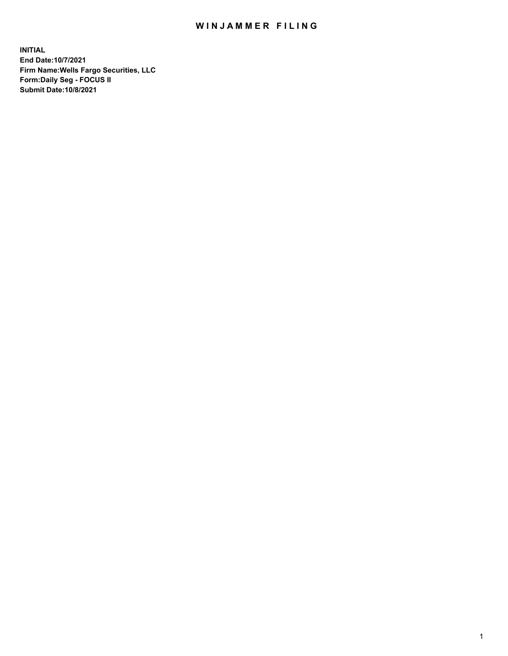## WIN JAMMER FILING

**INITIAL End Date:10/7/2021 Firm Name:Wells Fargo Securities, LLC Form:Daily Seg - FOCUS II Submit Date:10/8/2021**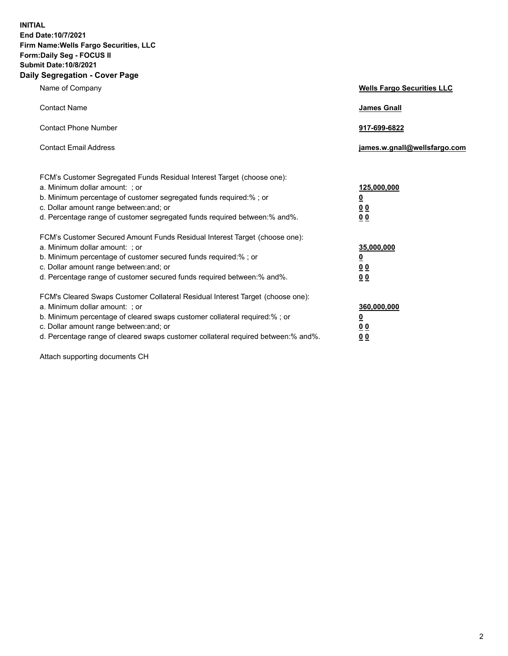**INITIAL End Date:10/7/2021 Firm Name:Wells Fargo Securities, LLC Form:Daily Seg - FOCUS II Submit Date:10/8/2021 Daily Segregation - Cover Page**

| Name of Company                                                                                                                                                                                                                                                                                                                | <b>Wells Fargo Securities LLC</b>                           |
|--------------------------------------------------------------------------------------------------------------------------------------------------------------------------------------------------------------------------------------------------------------------------------------------------------------------------------|-------------------------------------------------------------|
| <b>Contact Name</b>                                                                                                                                                                                                                                                                                                            | <b>James Gnall</b>                                          |
| <b>Contact Phone Number</b>                                                                                                                                                                                                                                                                                                    | 917-699-6822                                                |
| <b>Contact Email Address</b>                                                                                                                                                                                                                                                                                                   | james.w.gnall@wellsfargo.com                                |
| FCM's Customer Segregated Funds Residual Interest Target (choose one):<br>a. Minimum dollar amount: ; or<br>b. Minimum percentage of customer segregated funds required:% ; or<br>c. Dollar amount range between: and; or<br>d. Percentage range of customer segregated funds required between:% and%.                         | 125,000,000<br><u>0</u><br>0 <sub>0</sub><br>0 <sub>0</sub> |
| FCM's Customer Secured Amount Funds Residual Interest Target (choose one):<br>a. Minimum dollar amount: ; or<br>b. Minimum percentage of customer secured funds required:%; or<br>c. Dollar amount range between: and; or<br>d. Percentage range of customer secured funds required between:% and%.                            | 35,000,000<br><u>0</u><br>00<br>0 <sub>0</sub>              |
| FCM's Cleared Swaps Customer Collateral Residual Interest Target (choose one):<br>a. Minimum dollar amount: ; or<br>b. Minimum percentage of cleared swaps customer collateral required:% ; or<br>c. Dollar amount range between: and; or<br>d. Percentage range of cleared swaps customer collateral required between:% and%. | 360,000,000<br><u>0</u><br>0 <sub>0</sub><br>0 <sub>0</sub> |

Attach supporting documents CH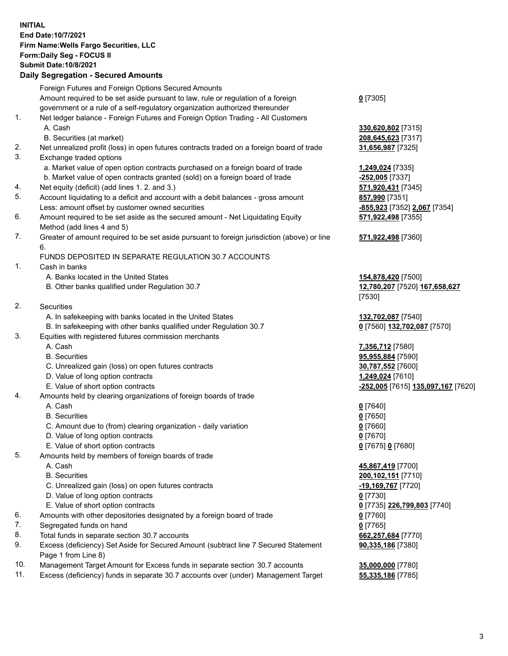**INITIAL End Date:10/7/2021 Firm Name:Wells Fargo Securities, LLC Form:Daily Seg - FOCUS II Submit Date:10/8/2021**

## **Daily Segregation - Secured Amounts**

|     | Foreign Futures and Foreign Options Secured Amounts                                         |                                    |
|-----|---------------------------------------------------------------------------------------------|------------------------------------|
|     | Amount required to be set aside pursuant to law, rule or regulation of a foreign            | $0$ [7305]                         |
|     | government or a rule of a self-regulatory organization authorized thereunder                |                                    |
| 1.  | Net ledger balance - Foreign Futures and Foreign Option Trading - All Customers             |                                    |
|     | A. Cash                                                                                     | 330,620,802 [7315]                 |
|     | B. Securities (at market)                                                                   | 208,645,623 [7317]                 |
| 2.  | Net unrealized profit (loss) in open futures contracts traded on a foreign board of trade   | 31,656,987 [7325]                  |
| 3.  | Exchange traded options                                                                     |                                    |
|     | a. Market value of open option contracts purchased on a foreign board of trade              | 1,249,024 [7335]                   |
|     | b. Market value of open contracts granted (sold) on a foreign board of trade                | -252,005 [7337]                    |
| 4.  | Net equity (deficit) (add lines 1. 2. and 3.)                                               | 571,920,431 [7345]                 |
| 5.  | Account liquidating to a deficit and account with a debit balances - gross amount           | 857,990 [7351]                     |
|     | Less: amount offset by customer owned securities                                            | -855,923 [7352] 2,067 [7354]       |
| 6.  | Amount required to be set aside as the secured amount - Net Liquidating Equity              | 571,922,498 [7355]                 |
|     | Method (add lines 4 and 5)                                                                  |                                    |
| 7.  | Greater of amount required to be set aside pursuant to foreign jurisdiction (above) or line | 571,922,498 [7360]                 |
|     | 6.                                                                                          |                                    |
|     | FUNDS DEPOSITED IN SEPARATE REGULATION 30.7 ACCOUNTS                                        |                                    |
| 1.  | Cash in banks                                                                               |                                    |
|     | A. Banks located in the United States                                                       | 154,878,420 [7500]                 |
|     | B. Other banks qualified under Regulation 30.7                                              | 12,780,207 [7520] 167,658,627      |
|     |                                                                                             | [7530]                             |
| 2.  | Securities                                                                                  |                                    |
|     | A. In safekeeping with banks located in the United States                                   | 132,702,087 [7540]                 |
|     | B. In safekeeping with other banks qualified under Regulation 30.7                          | 0 [7560] 132,702,087 [7570]        |
| 3.  | Equities with registered futures commission merchants                                       |                                    |
|     | A. Cash                                                                                     | 7,356,712 [7580]                   |
|     | <b>B.</b> Securities                                                                        | 95,955,884 [7590]                  |
|     | C. Unrealized gain (loss) on open futures contracts                                         | 30,787,552 [7600]                  |
|     | D. Value of long option contracts                                                           | 1,249,024 [7610]                   |
|     | E. Value of short option contracts                                                          | -252,005 [7615] 135,097,167 [7620] |
| 4.  | Amounts held by clearing organizations of foreign boards of trade                           |                                    |
|     | A. Cash                                                                                     | $0$ [7640]                         |
|     | <b>B.</b> Securities                                                                        | $0$ [7650]                         |
|     | C. Amount due to (from) clearing organization - daily variation                             | $0$ [7660]                         |
|     | D. Value of long option contracts                                                           | $0$ [7670]                         |
|     | E. Value of short option contracts                                                          | 0 [7675] 0 [7680]                  |
| 5.  | Amounts held by members of foreign boards of trade                                          |                                    |
|     | A. Cash                                                                                     | 45,867,419 [7700]                  |
|     | <b>B.</b> Securities                                                                        | 200, 102, 151 [7710]               |
|     | C. Unrealized gain (loss) on open futures contracts                                         | $-19,169,767$ [7720]               |
|     | D. Value of long option contracts                                                           | $0$ [7730]                         |
|     | E. Value of short option contracts                                                          | 0 [7735] 226,799,803 [7740]        |
| 6.  | Amounts with other depositories designated by a foreign board of trade                      | $0$ [7760]                         |
| 7.  | Segregated funds on hand                                                                    | $0$ [7765]                         |
| 8.  | Total funds in separate section 30.7 accounts                                               | 662,257,684 [7770]                 |
| 9.  | Excess (deficiency) Set Aside for Secured Amount (subtract line 7 Secured Statement         | 90,335,186 [7380]                  |
|     | Page 1 from Line 8)                                                                         |                                    |
| 10. | Management Target Amount for Excess funds in separate section 30.7 accounts                 | 35,000,000 [7780]                  |
|     |                                                                                             |                                    |

11. Excess (deficiency) funds in separate 30.7 accounts over (under) Management Target **55,335,186** [7785]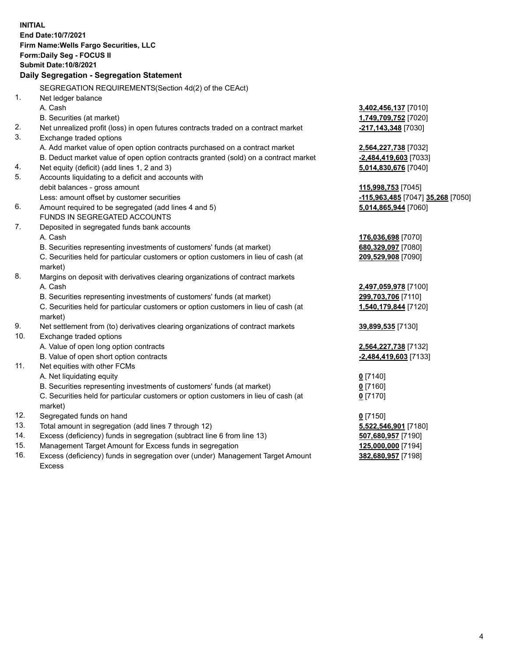**INITIAL End Date:10/7/2021 Firm Name:Wells Fargo Securities, LLC Form:Daily Seg - FOCUS II Submit Date:10/8/2021 Daily Segregation - Segregation Statement** SEGREGATION REQUIREMENTS(Section 4d(2) of the CEAct) 1. Net ledger balance A. Cash **3,402,456,137** [7010] B. Securities (at market) **1,749,709,752** [7020] 2. Net unrealized profit (loss) in open futures contracts traded on a contract market **-217,143,348** [7030] 3. Exchange traded options A. Add market value of open option contracts purchased on a contract market **2,564,227,738** [7032] B. Deduct market value of open option contracts granted (sold) on a contract market **-2,484,419,603** [7033] 4. Net equity (deficit) (add lines 1, 2 and 3) **5,014,830,676** [7040] 5. Accounts liquidating to a deficit and accounts with debit balances - gross amount **115,998,753** [7045] Less: amount offset by customer securities **-115,963,485** [7047] **35,268** [7050] 6. Amount required to be segregated (add lines 4 and 5) **5,014,865,944** [7060] FUNDS IN SEGREGATED ACCOUNTS 7. Deposited in segregated funds bank accounts A. Cash **176,036,698** [7070] B. Securities representing investments of customers' funds (at market) **680,329,097** [7080] C. Securities held for particular customers or option customers in lieu of cash (at market) **209,529,908** [7090] 8. Margins on deposit with derivatives clearing organizations of contract markets A. Cash **2,497,059,978** [7100] B. Securities representing investments of customers' funds (at market) **299,703,706** [7110] C. Securities held for particular customers or option customers in lieu of cash (at market) **1,540,179,844** [7120] 9. Net settlement from (to) derivatives clearing organizations of contract markets **39,899,535** [7130] 10. Exchange traded options A. Value of open long option contracts **2,564,227,738** [7132] B. Value of open short option contracts **-2,484,419,603** [7133] 11. Net equities with other FCMs A. Net liquidating equity **0** [7140] B. Securities representing investments of customers' funds (at market) **0** [7160] C. Securities held for particular customers or option customers in lieu of cash (at market) **0** [7170] 12. Segregated funds on hand **0** [7150] 13. Total amount in segregation (add lines 7 through 12) **5,522,546,901** [7180] 14. Excess (deficiency) funds in segregation (subtract line 6 from line 13) **507,680,957** [7190] 15. Management Target Amount for Excess funds in segregation **125,000,000** [7194] **382,680,957** [7198]

16. Excess (deficiency) funds in segregation over (under) Management Target Amount Excess